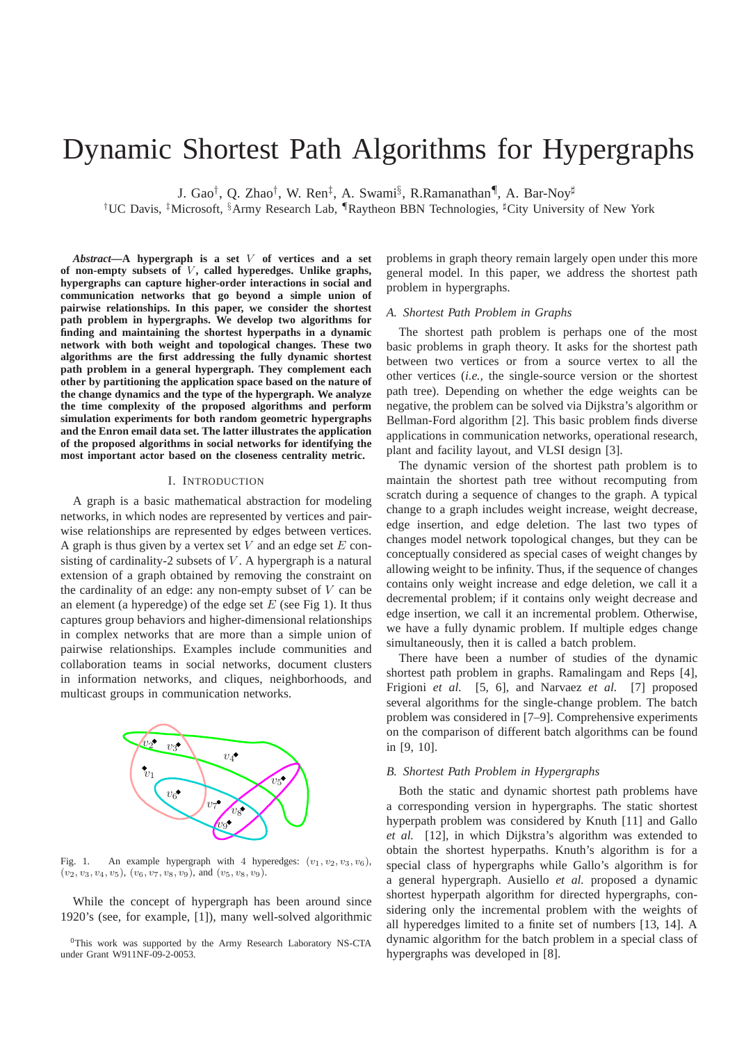# Dynamic Shortest Path Algorithms for Hypergraphs

J. Gao<sup>†</sup>, Q. Zhao<sup>†</sup>, W. Ren<sup>‡</sup>, A. Swami<sup>§</sup>, R.Ramanathan¶, A. Bar-Noy<sup>#</sup>

†UC Davis, ‡Microsoft, §Army Research Lab, ¶Raytheon BBN Technologies, <sup>♯</sup>City University of New York

*Abstract***—A hypergraph is a set** V **of vertices and a set** of non-empty subsets of V, called hyperedges. Unlike graphs, **hypergraphs can capture higher-order interactions in social and communication networks that go beyond a simple union of pairwise relationships. In this paper, we consider the shortest path problem in hypergraphs. We develop two algorithms for finding and maintaining the shortest hyperpaths in a dynamic network with both weight and topological changes. These two algorithms are the first addressing the fully dynamic shortest path problem in a general hypergraph. They complement each other by partitioning the application space based on the nature of the change dynamics and the type of the hypergraph. We analyze the time complexity of the proposed algorithms and perform simulation experiments for both random geometric hypergraphs and the Enron email data set. The latter illustrates the application of the proposed algorithms in social networks for identifying the most important actor based on the closeness centrality metric.**

### I. INTRODUCTION

A graph is a basic mathematical abstraction for modeling networks, in which nodes are represented by vertices and pairwise relationships are represented by edges between vertices. A graph is thus given by a vertex set  $V$  and an edge set  $E$  consisting of cardinality-2 subsets of  $V$ . A hypergraph is a natural extension of a graph obtained by removing the constraint on the cardinality of an edge: any non-empty subset of  $V$  can be an element (a hyperedge) of the edge set  $E$  (see Fig 1). It thus captures group behaviors and higher-dimensional relationships in complex networks that are more than a simple union of pairwise relationships. Examples include communities and collaboration teams in social networks, document clusters in information networks, and cliques, neighborhoods, and multicast groups in communication networks.



Fig. 1. An example hypergraph with 4 hyperedges:  $(v_1, v_2, v_3, v_6)$ ,  $(v_2, v_3, v_4, v_5), (v_6, v_7, v_8, v_9),$  and  $(v_5, v_8, v_9)$ .

While the concept of hypergraph has been around since 1920's (see, for example, [1]), many well-solved algorithmic problems in graph theory remain largely open under this more general model. In this paper, we address the shortest path problem in hypergraphs.

#### *A. Shortest Path Problem in Graphs*

The shortest path problem is perhaps one of the most basic problems in graph theory. It asks for the shortest path between two vertices or from a source vertex to all the other vertices (*i.e.,* the single-source version or the shortest path tree). Depending on whether the edge weights can be negative, the problem can be solved via Dijkstra's algorithm or Bellman-Ford algorithm [2]. This basic problem finds diverse applications in communication networks, operational research, plant and facility layout, and VLSI design [3].

The dynamic version of the shortest path problem is to maintain the shortest path tree without recomputing from scratch during a sequence of changes to the graph. A typical change to a graph includes weight increase, weight decrease, edge insertion, and edge deletion. The last two types of changes model network topological changes, but they can be conceptually considered as special cases of weight changes by allowing weight to be infinity. Thus, if the sequence of changes contains only weight increase and edge deletion, we call it a decremental problem; if it contains only weight decrease and edge insertion, we call it an incremental problem. Otherwise, we have a fully dynamic problem. If multiple edges change simultaneously, then it is called a batch problem.

There have been a number of studies of the dynamic shortest path problem in graphs. Ramalingam and Reps [4], Frigioni *et al.* [5, 6], and Narvaez *et al.* [7] proposed several algorithms for the single-change problem. The batch problem was considered in [7–9]. Comprehensive experiments on the comparison of different batch algorithms can be found in [9, 10].

## *B. Shortest Path Problem in Hypergraphs*

Both the static and dynamic shortest path problems have a corresponding version in hypergraphs. The static shortest hyperpath problem was considered by Knuth [11] and Gallo *et al.* [12], in which Dijkstra's algorithm was extended to obtain the shortest hyperpaths. Knuth's algorithm is for a special class of hypergraphs while Gallo's algorithm is for a general hypergraph. Ausiello *et al.* proposed a dynamic shortest hyperpath algorithm for directed hypergraphs, considering only the incremental problem with the weights of all hyperedges limited to a finite set of numbers [13, 14]. A dynamic algorithm for the batch problem in a special class of hypergraphs was developed in [8].

<sup>0</sup>This work was supported by the Army Research Laboratory NS-CTA under Grant W911NF-09-2-0053.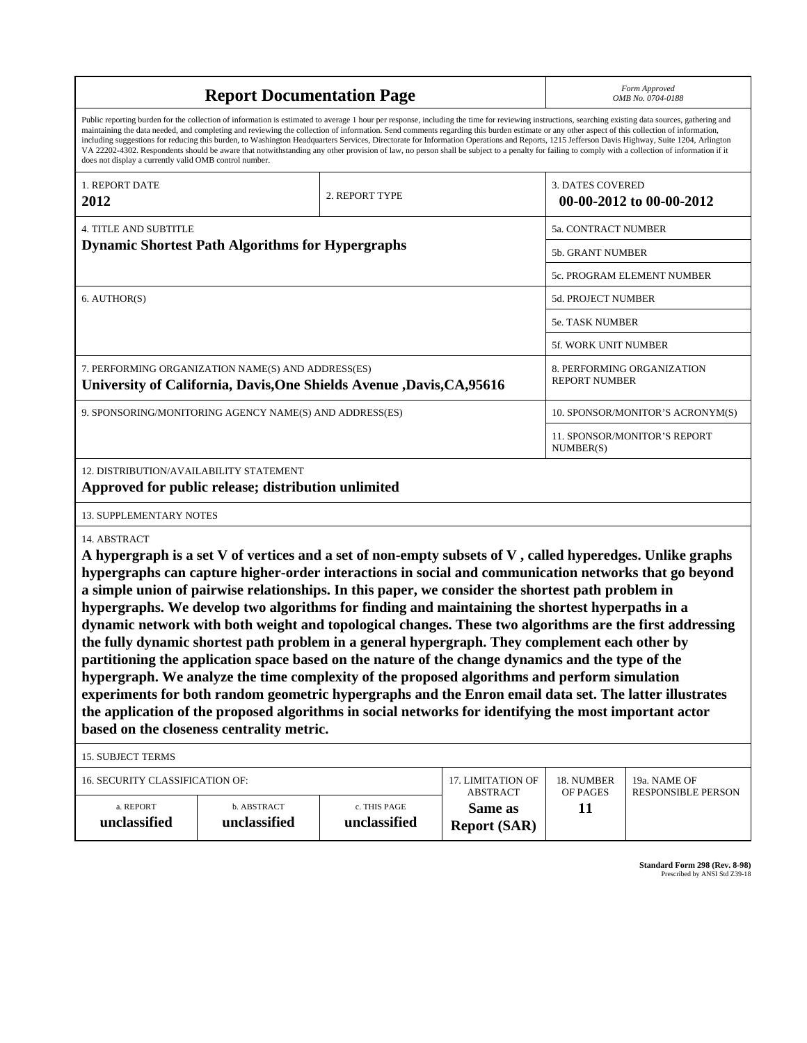| <b>Report Documentation Page</b>                        |                                                                                                                                                                                                                                                                                                                                                                                                                                                                                                                                                                                                                                                                                                                                                                                                                                                                                                                                                                                                                                                                                                               |                              |                                                    |                         | Form Approved<br>OMB No. 0704-0188        |  |
|---------------------------------------------------------|---------------------------------------------------------------------------------------------------------------------------------------------------------------------------------------------------------------------------------------------------------------------------------------------------------------------------------------------------------------------------------------------------------------------------------------------------------------------------------------------------------------------------------------------------------------------------------------------------------------------------------------------------------------------------------------------------------------------------------------------------------------------------------------------------------------------------------------------------------------------------------------------------------------------------------------------------------------------------------------------------------------------------------------------------------------------------------------------------------------|------------------------------|----------------------------------------------------|-------------------------|-------------------------------------------|--|
| does not display a currently valid OMB control number.  | Public reporting burden for the collection of information is estimated to average 1 hour per response, including the time for reviewing instructions, searching existing data sources, gathering and<br>maintaining the data needed, and completing and reviewing the collection of information. Send comments regarding this burden estimate or any other aspect of this collection of information,<br>including suggestions for reducing this burden, to Washington Headquarters Services, Directorate for Information Operations and Reports, 1215 Jefferson Davis Highway, Suite 1204, Arlington<br>VA 22202-4302. Respondents should be aware that notwithstanding any other provision of law, no person shall be subject to a penalty for failing to comply with a collection of information if it                                                                                                                                                                                                                                                                                                      |                              |                                                    |                         |                                           |  |
| 1. REPORT DATE<br>2012                                  |                                                                                                                                                                                                                                                                                                                                                                                                                                                                                                                                                                                                                                                                                                                                                                                                                                                                                                                                                                                                                                                                                                               | 2. REPORT TYPE               |                                                    | <b>3. DATES COVERED</b> | 00-00-2012 to 00-00-2012                  |  |
|                                                         |                                                                                                                                                                                                                                                                                                                                                                                                                                                                                                                                                                                                                                                                                                                                                                                                                                                                                                                                                                                                                                                                                                               |                              |                                                    |                         |                                           |  |
| <b>4. TITLE AND SUBTITLE</b>                            |                                                                                                                                                                                                                                                                                                                                                                                                                                                                                                                                                                                                                                                                                                                                                                                                                                                                                                                                                                                                                                                                                                               |                              | <b>5a. CONTRACT NUMBER</b>                         |                         |                                           |  |
| <b>Dynamic Shortest Path Algorithms for Hypergraphs</b> |                                                                                                                                                                                                                                                                                                                                                                                                                                                                                                                                                                                                                                                                                                                                                                                                                                                                                                                                                                                                                                                                                                               |                              | <b>5b. GRANT NUMBER</b>                            |                         |                                           |  |
|                                                         |                                                                                                                                                                                                                                                                                                                                                                                                                                                                                                                                                                                                                                                                                                                                                                                                                                                                                                                                                                                                                                                                                                               |                              |                                                    |                         | 5c. PROGRAM ELEMENT NUMBER                |  |
| 6. AUTHOR(S)                                            |                                                                                                                                                                                                                                                                                                                                                                                                                                                                                                                                                                                                                                                                                                                                                                                                                                                                                                                                                                                                                                                                                                               |                              |                                                    | 5d. PROJECT NUMBER      |                                           |  |
|                                                         |                                                                                                                                                                                                                                                                                                                                                                                                                                                                                                                                                                                                                                                                                                                                                                                                                                                                                                                                                                                                                                                                                                               | 5e. TASK NUMBER              |                                                    |                         |                                           |  |
|                                                         |                                                                                                                                                                                                                                                                                                                                                                                                                                                                                                                                                                                                                                                                                                                                                                                                                                                                                                                                                                                                                                                                                                               |                              |                                                    | 5f. WORK UNIT NUMBER    |                                           |  |
| 7. PERFORMING ORGANIZATION NAME(S) AND ADDRESS(ES)      | University of California, Davis, One Shields Avenue , Davis, CA, 95616                                                                                                                                                                                                                                                                                                                                                                                                                                                                                                                                                                                                                                                                                                                                                                                                                                                                                                                                                                                                                                        |                              | 8. PERFORMING ORGANIZATION<br><b>REPORT NUMBER</b> |                         |                                           |  |
|                                                         | 9. SPONSORING/MONITORING AGENCY NAME(S) AND ADDRESS(ES)                                                                                                                                                                                                                                                                                                                                                                                                                                                                                                                                                                                                                                                                                                                                                                                                                                                                                                                                                                                                                                                       |                              |                                                    |                         | 10. SPONSOR/MONITOR'S ACRONYM(S)          |  |
|                                                         |                                                                                                                                                                                                                                                                                                                                                                                                                                                                                                                                                                                                                                                                                                                                                                                                                                                                                                                                                                                                                                                                                                               |                              |                                                    | NUMBER(S)               | 11. SPONSOR/MONITOR'S REPORT              |  |
| 12. DISTRIBUTION/AVAILABILITY STATEMENT                 | Approved for public release; distribution unlimited                                                                                                                                                                                                                                                                                                                                                                                                                                                                                                                                                                                                                                                                                                                                                                                                                                                                                                                                                                                                                                                           |                              |                                                    |                         |                                           |  |
| <b>13. SUPPLEMENTARY NOTES</b>                          |                                                                                                                                                                                                                                                                                                                                                                                                                                                                                                                                                                                                                                                                                                                                                                                                                                                                                                                                                                                                                                                                                                               |                              |                                                    |                         |                                           |  |
| 14. ABSTRACT                                            | A hypergraph is a set V of vertices and a set of non-empty subsets of V, called hyperedges. Unlike graphs<br>hypergraphs can capture higher-order interactions in social and communication networks that go beyond<br>a simple union of pairwise relationships. In this paper, we consider the shortest path problem in<br>hypergraphs. We develop two algorithms for finding and maintaining the shortest hyperpaths in a<br>dynamic network with both weight and topological changes. These two algorithms are the first addressing<br>the fully dynamic shortest path problem in a general hypergraph. They complement each other by<br>partitioning the application space based on the nature of the change dynamics and the type of the<br>hypergraph. We analyze the time complexity of the proposed algorithms and perform simulation<br>experiments for both random geometric hypergraphs and the Enron email data set. The latter illustrates<br>the application of the proposed algorithms in social networks for identifying the most important actor<br>based on the closeness centrality metric. |                              |                                                    |                         |                                           |  |
| <b>15. SUBJECT TERMS</b>                                |                                                                                                                                                                                                                                                                                                                                                                                                                                                                                                                                                                                                                                                                                                                                                                                                                                                                                                                                                                                                                                                                                                               |                              |                                                    |                         |                                           |  |
| 16. SECURITY CLASSIFICATION OF:                         |                                                                                                                                                                                                                                                                                                                                                                                                                                                                                                                                                                                                                                                                                                                                                                                                                                                                                                                                                                                                                                                                                                               |                              | 17. LIMITATION OF<br><b>ABSTRACT</b>               | 18. NUMBER<br>OF PAGES  | 19a. NAME OF<br><b>RESPONSIBLE PERSON</b> |  |
| a. REPORT<br>unclassified                               | b. ABSTRACT<br>unclassified                                                                                                                                                                                                                                                                                                                                                                                                                                                                                                                                                                                                                                                                                                                                                                                                                                                                                                                                                                                                                                                                                   | c. THIS PAGE<br>unclassified | Same as<br><b>Report (SAR)</b>                     | 11                      |                                           |  |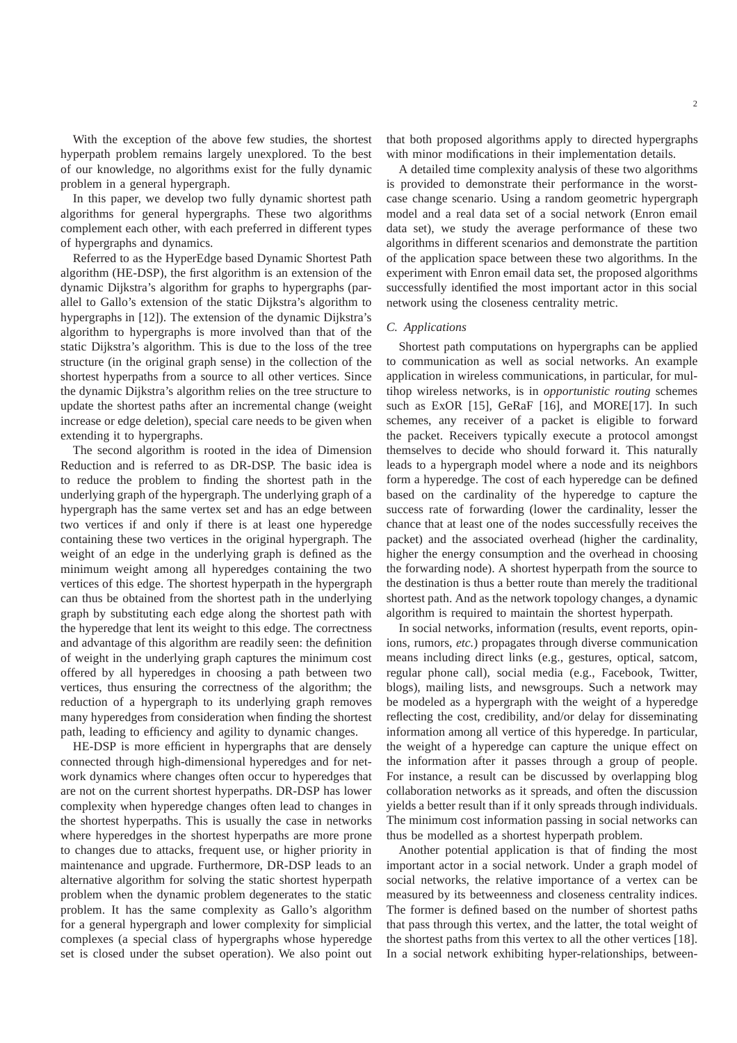With the exception of the above few studies, the shortest hyperpath problem remains largely unexplored. To the best of our knowledge, no algorithms exist for the fully dynamic problem in a general hypergraph.

In this paper, we develop two fully dynamic shortest path algorithms for general hypergraphs. These two algorithms complement each other, with each preferred in different types of hypergraphs and dynamics.

Referred to as the HyperEdge based Dynamic Shortest Path algorithm (HE-DSP), the first algorithm is an extension of the dynamic Dijkstra's algorithm for graphs to hypergraphs (parallel to Gallo's extension of the static Dijkstra's algorithm to hypergraphs in [12]). The extension of the dynamic Dijkstra's algorithm to hypergraphs is more involved than that of the static Dijkstra's algorithm. This is due to the loss of the tree structure (in the original graph sense) in the collection of the shortest hyperpaths from a source to all other vertices. Since the dynamic Dijkstra's algorithm relies on the tree structure to update the shortest paths after an incremental change (weight increase or edge deletion), special care needs to be given when extending it to hypergraphs.

The second algorithm is rooted in the idea of Dimension Reduction and is referred to as DR-DSP. The basic idea is to reduce the problem to finding the shortest path in the underlying graph of the hypergraph. The underlying graph of a hypergraph has the same vertex set and has an edge between two vertices if and only if there is at least one hyperedge containing these two vertices in the original hypergraph. The weight of an edge in the underlying graph is defined as the minimum weight among all hyperedges containing the two vertices of this edge. The shortest hyperpath in the hypergraph can thus be obtained from the shortest path in the underlying graph by substituting each edge along the shortest path with the hyperedge that lent its weight to this edge. The correctness and advantage of this algorithm are readily seen: the definition of weight in the underlying graph captures the minimum cost offered by all hyperedges in choosing a path between two vertices, thus ensuring the correctness of the algorithm; the reduction of a hypergraph to its underlying graph removes many hyperedges from consideration when finding the shortest path, leading to efficiency and agility to dynamic changes.

HE-DSP is more efficient in hypergraphs that are densely connected through high-dimensional hyperedges and for network dynamics where changes often occur to hyperedges that are not on the current shortest hyperpaths. DR-DSP has lower complexity when hyperedge changes often lead to changes in the shortest hyperpaths. This is usually the case in networks where hyperedges in the shortest hyperpaths are more prone to changes due to attacks, frequent use, or higher priority in maintenance and upgrade. Furthermore, DR-DSP leads to an alternative algorithm for solving the static shortest hyperpath problem when the dynamic problem degenerates to the static problem. It has the same complexity as Gallo's algorithm for a general hypergraph and lower complexity for simplicial complexes (a special class of hypergraphs whose hyperedge set is closed under the subset operation). We also point out that both proposed algorithms apply to directed hypergraphs with minor modifications in their implementation details.

A detailed time complexity analysis of these two algorithms is provided to demonstrate their performance in the worstcase change scenario. Using a random geometric hypergraph model and a real data set of a social network (Enron email data set), we study the average performance of these two algorithms in different scenarios and demonstrate the partition of the application space between these two algorithms. In the experiment with Enron email data set, the proposed algorithms successfully identified the most important actor in this social network using the closeness centrality metric.

## *C. Applications*

Shortest path computations on hypergraphs can be applied to communication as well as social networks. An example application in wireless communications, in particular, for multihop wireless networks, is in *opportunistic routing* schemes such as ExOR [15], GeRaF [16], and MORE[17]. In such schemes, any receiver of a packet is eligible to forward the packet. Receivers typically execute a protocol amongst themselves to decide who should forward it. This naturally leads to a hypergraph model where a node and its neighbors form a hyperedge. The cost of each hyperedge can be defined based on the cardinality of the hyperedge to capture the success rate of forwarding (lower the cardinality, lesser the chance that at least one of the nodes successfully receives the packet) and the associated overhead (higher the cardinality, higher the energy consumption and the overhead in choosing the forwarding node). A shortest hyperpath from the source to the destination is thus a better route than merely the traditional shortest path. And as the network topology changes, a dynamic algorithm is required to maintain the shortest hyperpath.

In social networks, information (results, event reports, opinions, rumors, *etc.*) propagates through diverse communication means including direct links (e.g., gestures, optical, satcom, regular phone call), social media (e.g., Facebook, Twitter, blogs), mailing lists, and newsgroups. Such a network may be modeled as a hypergraph with the weight of a hyperedge reflecting the cost, credibility, and/or delay for disseminating information among all vertice of this hyperedge. In particular, the weight of a hyperedge can capture the unique effect on the information after it passes through a group of people. For instance, a result can be discussed by overlapping blog collaboration networks as it spreads, and often the discussion yields a better result than if it only spreads through individuals. The minimum cost information passing in social networks can thus be modelled as a shortest hyperpath problem.

Another potential application is that of finding the most important actor in a social network. Under a graph model of social networks, the relative importance of a vertex can be measured by its betweenness and closeness centrality indices. The former is defined based on the number of shortest paths that pass through this vertex, and the latter, the total weight of the shortest paths from this vertex to all the other vertices [18]. In a social network exhibiting hyper-relationships, between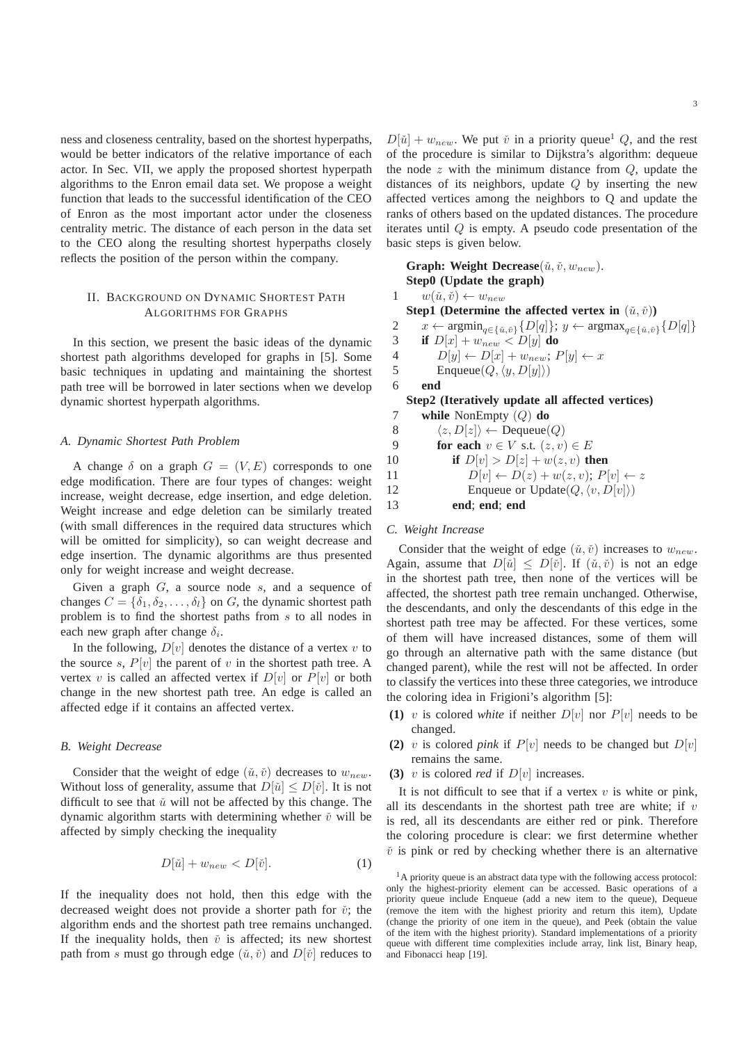ness and closeness centrality, based on the shortest hyperpaths, would be better indicators of the relative importance of each actor. In Sec. VII, we apply the proposed shortest hyperpath algorithms to the Enron email data set. We propose a weight function that leads to the successful identification of the CEO of Enron as the most important actor under the closeness centrality metric. The distance of each person in the data set to the CEO along the resulting shortest hyperpaths closely reflects the position of the person within the company.

## II. BACKGROUND ON DYNAMIC SHORTEST PATH ALGORITHMS FOR GRAPHS

In this section, we present the basic ideas of the dynamic shortest path algorithms developed for graphs in [5]. Some basic techniques in updating and maintaining the shortest path tree will be borrowed in later sections when we develop dynamic shortest hyperpath algorithms.

#### *A. Dynamic Shortest Path Problem*

A change  $\delta$  on a graph  $G = (V, E)$  corresponds to one edge modification. There are four types of changes: weight increase, weight decrease, edge insertion, and edge deletion. Weight increase and edge deletion can be similarly treated (with small differences in the required data structures which will be omitted for simplicity), so can weight decrease and edge insertion. The dynamic algorithms are thus presented only for weight increase and weight decrease.

Given a graph  $G$ , a source node  $s$ , and a sequence of changes  $C = \{\delta_1, \delta_2, \dots, \delta_l\}$  on G, the dynamic shortest path problem is to find the shortest paths from s to all nodes in each new graph after change  $\delta_i$ .

In the following,  $D[v]$  denotes the distance of a vertex v to the source s,  $P[v]$  the parent of v in the shortest path tree. A vertex v is called an affected vertex if  $D[v]$  or  $P[v]$  or both change in the new shortest path tree. An edge is called an affected edge if it contains an affected vertex.

## *B. Weight Decrease*

Consider that the weight of edge  $(\check{u}, \check{v})$  decreases to  $w_{new}$ . Without loss of generality, assume that  $D[\check{u}] \leq D[\check{v}]$ . It is not difficult to see that  $\check{u}$  will not be affected by this change. The dynamic algorithm starts with determining whether  $\check{v}$  will be affected by simply checking the inequality

$$
D[\check{u}] + w_{new} < D[\check{v}].\tag{1}
$$

If the inequality does not hold, then this edge with the decreased weight does not provide a shorter path for  $\check{v}$ ; the algorithm ends and the shortest path tree remains unchanged. If the inequality holds, then  $\check{v}$  is affected; its new shortest path from s must go through edge  $(\check{u}, \check{v})$  and  $D[\check{v}]$  reduces to

 $D[\check{u}] + w_{new}$ . We put  $\check{v}$  in a priority queue<sup>1</sup> Q, and the rest of the procedure is similar to Dijkstra's algorithm: dequeue the node  $z$  with the minimum distance from  $Q$ , update the distances of its neighbors, update Q by inserting the new affected vertices among the neighbors to Q and update the ranks of others based on the updated distances. The procedure iterates until Q is empty. A pseudo code presentation of the basic steps is given below.

**Graph: Weight Decrease**( $\check{u}, \check{v}, w_{new}$ ). **Step0 (Update the graph)**  $w(\check{u}, \check{v}) \leftarrow w_{new}$ **Step1** (Determine the affected vertex in  $(\check{u}, \check{v})$ ) 2  $x \leftarrow \operatorname{argmin}_{q \in \{\check{u}, \check{v}\}} \{D[q]\}; y \leftarrow \operatorname{argmax}_{q \in \{\check{u}, \check{v}\}} \{D[q]\}$ 3 **if**  $D[x] + w_{new} < D[y]$  do 4  $D[y] \leftarrow D[x] + w_{new}; P[y] \leftarrow x$ 5 Enqueue $(Q, \langle y, D[y]\rangle)$ 6 **end Step2 (Iteratively update all affected vertices)** 7 **while** NonEmpty (Q) **do** 8  $\langle z, D[z] \rangle \leftarrow \text{Dequeue}(Q)$ 9 **for each**  $v \in V$  s.t.  $(z, v) \in E$ 10 **if**  $D[v] > D[z] + w(z, v)$  **then** 11  $D[v] \leftarrow D(z) + w(z, v); P[v] \leftarrow z$ 12 Enqueue or Update $(Q, \langle v, D[v]\rangle)$ 

13 **end**; **end**; **end**

#### *C. Weight Increase*

Consider that the weight of edge  $(\check{u}, \check{v})$  increases to  $w_{new}$ . Again, assume that  $D[\check{u}] \leq D[\check{v}]$ . If  $(\check{u}, \check{v})$  is not an edge in the shortest path tree, then none of the vertices will be affected, the shortest path tree remain unchanged. Otherwise, the descendants, and only the descendants of this edge in the shortest path tree may be affected. For these vertices, some of them will have increased distances, some of them will go through an alternative path with the same distance (but changed parent), while the rest will not be affected. In order to classify the vertices into these three categories, we introduce the coloring idea in Frigioni's algorithm [5]:

- **(1)** v is colored white if neither  $D[v]$  nor  $P[v]$  needs to be changed.
- **(2)** v is colored *pink* if  $P[v]$  needs to be changed but  $D[v]$ remains the same.
- **(3)** v is colored *red* if  $D[v]$  increases.

It is not difficult to see that if a vertex  $v$  is white or pink, all its descendants in the shortest path tree are white; if  $v$ is red, all its descendants are either red or pink. Therefore the coloring procedure is clear: we first determine whether  $\check{v}$  is pink or red by checking whether there is an alternative

 $<sup>1</sup>A$  priority queue is an abstract data type with the following access protocol:</sup> only the highest-priority element can be accessed. Basic operations of a priority queue include Enqueue (add a new item to the queue), Dequeue (remove the item with the highest priority and return this item), Update (change the priority of one item in the queue), and Peek (obtain the value of the item with the highest priority). Standard implementations of a priority queue with different time complexities include array, link list, Binary heap, and Fibonacci heap [19].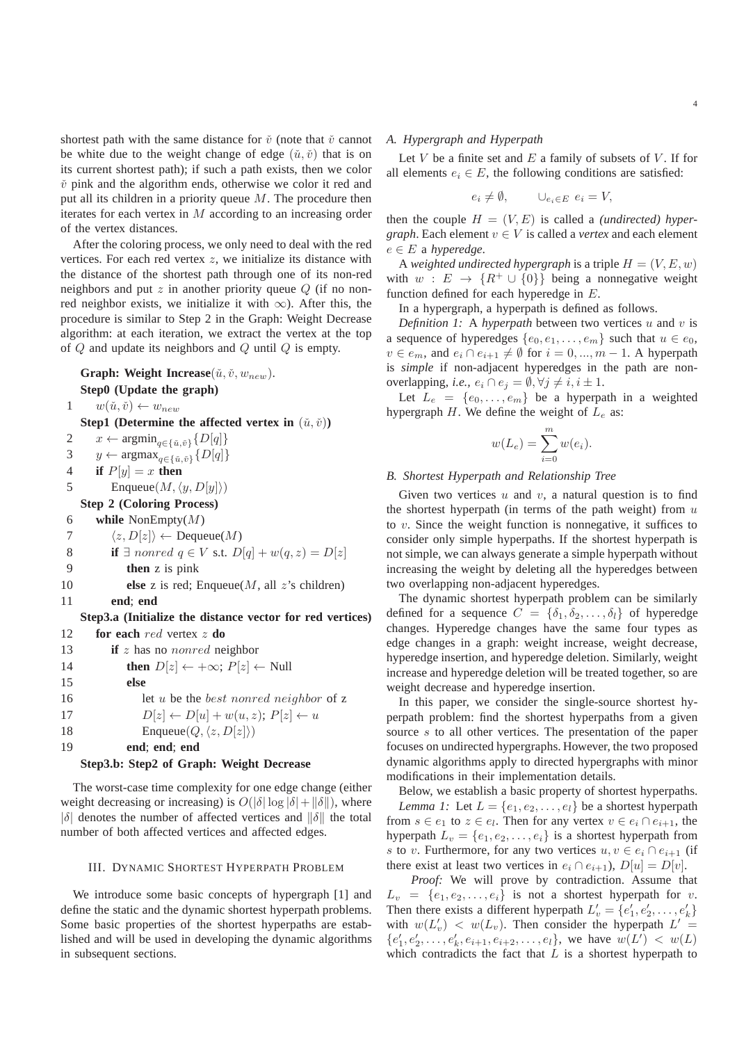shortest path with the same distance for  $\check{v}$  (note that  $\check{v}$  cannot be white due to the weight change of edge  $(\check{u}, \check{v})$  that is on its current shortest path); if such a path exists, then we color  $\check{v}$  pink and the algorithm ends, otherwise we color it red and put all its children in a priority queue  $M$ . The procedure then iterates for each vertex in M according to an increasing order of the vertex distances.

After the coloring process, we only need to deal with the red vertices. For each red vertex  $z$ , we initialize its distance with the distance of the shortest path through one of its non-red neighbors and put  $z$  in another priority queue  $Q$  (if no nonred neighbor exists, we initialize it with  $\infty$ ). After this, the procedure is similar to Step 2 in the Graph: Weight Decrease algorithm: at each iteration, we extract the vertex at the top of  $Q$  and update its neighbors and  $Q$  until  $Q$  is empty.

**Graph: Weight Increase** $(\check{u}, \check{v}, w_{new})$ . **Step0 (Update the graph)** 1  $w(\check{u}, \check{v}) \leftarrow w_{new}$ **Step1** (Determine the affected vertex in  $(\check{u}, \check{v})$ ) 2  $x \leftarrow \operatorname{argmin}_{q \in \{\tilde{u}, \tilde{v}\}} \{D[q]\}$ 3  $y \leftarrow \argmax_{q \in \{\tilde{u}, \tilde{v}\}} \{D[q]\}$ 4 **if**  $P[y] = x$  **then** 5 Enqueue $(M, \langle y, D[y]\rangle)$ **Step 2 (Coloring Process)** 6 **while** NonEmpty(M) 7  $\langle z, D[z] \rangle \leftarrow \text{Dequeue}(M)$ 8 **if**  $\exists$  nonred  $q \in V$  s.t.  $D[q] + w(q, z) = D[z]$ 9 **then** z is pink 10 **else** z is red; Enqueue(M, all z's children) 11 **end**; **end Step3.a (Initialize the distance vector for red vertices)** 12 **for each** red vertex z **do** 13 **if** z has no nonred neighbor 14 **then**  $D[z] \leftarrow +\infty$ ;  $P[z] \leftarrow$  Null 15 **else** 16 let u be the *best nonred neighbor* of z 17  $D[z] \leftarrow D[u] + w(u, z); P[z] \leftarrow u$ 18 Enqueue $(Q, \langle z, D[z]\rangle)$ 19 **end**; **end**; **end**

## **Step3.b: Step2 of Graph: Weight Decrease**

The worst-case time complexity for one edge change (either weight decreasing or increasing) is  $O(|\delta| \log |\delta| + ||\delta||)$ , where  $|\delta|$  denotes the number of affected vertices and  $\|\delta\|$  the total number of both affected vertices and affected edges.

## III. DYNAMIC SHORTEST HYPERPATH PROBLEM

We introduce some basic concepts of hypergraph [1] and define the static and the dynamic shortest hyperpath problems. Some basic properties of the shortest hyperpaths are established and will be used in developing the dynamic algorithms in subsequent sections.

## *A. Hypergraph and Hyperpath*

Let  $V$  be a finite set and  $E$  a family of subsets of  $V$ . If for all elements  $e_i \in E$ , the following conditions are satisfied:

$$
e_i \neq \emptyset, \qquad \cup_{e_i \in E} e_i = V,
$$

then the couple  $H = (V, E)$  is called a *(undirected) hypergraph*. Each element  $v \in V$  is called a *vertex* and each element e ∈ E a *hyperedge*.

A *weighted undirected hypergraph* is a triple  $H = (V, E, w)$ with  $w : E \to \{R^+ \cup \{0\}\}\$  being a nonnegative weight function defined for each hyperedge in E.

In a hypergraph, a hyperpath is defined as follows.

*Definition 1:* A *hyperpath* between two vertices u and v is a sequence of hyperedges  $\{e_0, e_1, \ldots, e_m\}$  such that  $u \in e_0$ ,  $v \in e_m$ , and  $e_i \cap e_{i+1} \neq \emptyset$  for  $i = 0, ..., m - 1$ . A hyperpath is *simple* if non-adjacent hyperedges in the path are nonoverlapping, *i.e.*,  $e_i \cap e_j = \emptyset, \forall j \neq i, i \pm 1$ .

Let  $L_e = \{e_0, \ldots, e_m\}$  be a hyperpath in a weighted hypergraph  $H$ . We define the weight of  $L_e$  as:

$$
w(L_e) = \sum_{i=0}^{m} w(e_i).
$$

## *B. Shortest Hyperpath and Relationship Tree*

Given two vertices  $u$  and  $v$ , a natural question is to find the shortest hyperpath (in terms of the path weight) from  $u$ to v. Since the weight function is nonnegative, it suffices to consider only simple hyperpaths. If the shortest hyperpath is not simple, we can always generate a simple hyperpath without increasing the weight by deleting all the hyperedges between two overlapping non-adjacent hyperedges.

The dynamic shortest hyperpath problem can be similarly defined for a sequence  $C = \{\delta_1, \delta_2, \ldots, \delta_l\}$  of hyperedge changes. Hyperedge changes have the same four types as edge changes in a graph: weight increase, weight decrease, hyperedge insertion, and hyperedge deletion. Similarly, weight increase and hyperedge deletion will be treated together, so are weight decrease and hyperedge insertion.

In this paper, we consider the single-source shortest hyperpath problem: find the shortest hyperpaths from a given source s to all other vertices. The presentation of the paper focuses on undirected hypergraphs. However, the two proposed dynamic algorithms apply to directed hypergraphs with minor modifications in their implementation details.

Below, we establish a basic property of shortest hyperpaths. *Lemma 1:* Let  $L = \{e_1, e_2, \ldots, e_l\}$  be a shortest hyperpath from  $s \in e_1$  to  $z \in e_i$ . Then for any vertex  $v \in e_i \cap e_{i+1}$ , the hyperpath  $L_v = \{e_1, e_2, \ldots, e_i\}$  is a shortest hyperpath from s to v. Furthermore, for any two vertices  $u, v \in e_i \cap e_{i+1}$  (if there exist at least two vertices in  $e_i \cap e_{i+1}$ ,  $D[u] = D[v]$ .

*Proof:* We will prove by contradiction. Assume that  $L_v = \{e_1, e_2, \ldots, e_i\}$  is not a shortest hyperpath for v. Then there exists a different hyperpath  $L'_v = \{e'_1, e'_2, \dots, e'_k\}$ with  $w(L'_v) < w(L_v)$ . Then consider the hyperpath  $L' =$  ${e'_1, e'_2, \ldots, e'_k, e_{i+1}, e_{i+2}, \ldots, e_l},$  we have  $w(L') < w(L)$ which contradicts the fact that  $L$  is a shortest hyperpath to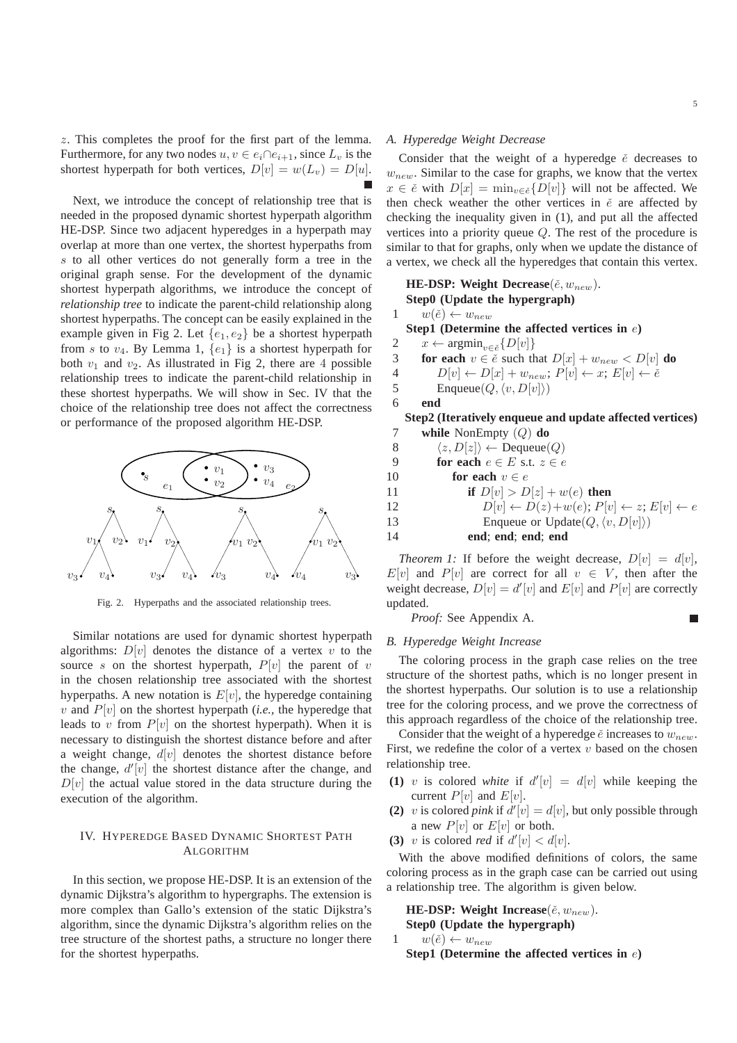z. This completes the proof for the first part of the lemma. Furthermore, for any two nodes  $u, v \in e_i \cap e_{i+1}$ , since  $L_v$  is the shortest hyperpath for both vertices,  $D[v] = w(L_v) = D[u]$ .

Next, we introduce the concept of relationship tree that is needed in the proposed dynamic shortest hyperpath algorithm HE-DSP. Since two adjacent hyperedges in a hyperpath may overlap at more than one vertex, the shortest hyperpaths from s to all other vertices do not generally form a tree in the original graph sense. For the development of the dynamic shortest hyperpath algorithms, we introduce the concept of *relationship tree* to indicate the parent-child relationship along shortest hyperpaths. The concept can be easily explained in the example given in Fig 2. Let  $\{e_1, e_2\}$  be a shortest hyperpath from s to  $v_4$ . By Lemma 1,  $\{e_1\}$  is a shortest hyperpath for both  $v_1$  and  $v_2$ . As illustrated in Fig 2, there are 4 possible relationship trees to indicate the parent-child relationship in these shortest hyperpaths. We will show in Sec. IV that the choice of the relationship tree does not affect the correctness or performance of the proposed algorithm HE-DSP.



Fig. 2. Hyperpaths and the associated relationship trees.

Similar notations are used for dynamic shortest hyperpath algorithms:  $D[v]$  denotes the distance of a vertex v to the source s on the shortest hyperpath,  $P[v]$  the parent of v in the chosen relationship tree associated with the shortest hyperpaths. A new notation is  $E[v]$ , the hyperedge containing  $v$  and  $P[v]$  on the shortest hyperpath (*i.e.*, the hyperedge that leads to v from  $P[v]$  on the shortest hyperpath). When it is necessary to distinguish the shortest distance before and after a weight change,  $d[v]$  denotes the shortest distance before the change,  $d'[v]$  the shortest distance after the change, and  $D[v]$  the actual value stored in the data structure during the execution of the algorithm.

## IV. HYPEREDGE BASED DYNAMIC SHORTEST PATH ALGORITHM

In this section, we propose HE-DSP. It is an extension of the dynamic Dijkstra's algorithm to hypergraphs. The extension is more complex than Gallo's extension of the static Dijkstra's algorithm, since the dynamic Dijkstra's algorithm relies on the tree structure of the shortest paths, a structure no longer there for the shortest hyperpaths.

## *A. Hyperedge Weight Decrease*

Consider that the weight of a hyperedge  $\check{e}$  decreases to  $w_{new}$ . Similar to the case for graphs, we know that the vertex  $x \in \check{e}$  with  $D[x] = \min_{v \in \check{e}} \{D[v]\}$  will not be affected. We then check weather the other vertices in  $\check{e}$  are affected by checking the inequality given in (1), and put all the affected vertices into a priority queue Q. The rest of the procedure is similar to that for graphs, only when we update the distance of a vertex, we check all the hyperedges that contain this vertex.

**HE-DSP:** Weight Decrease( $\check{e}$ ,  $w_{new}$ ). **Step0 (Update the hypergraph)** 1  $w(\check{e}) \leftarrow w_{new}$ **Step1 (Determine the affected vertices in** e**)** 2  $x \leftarrow \operatorname{argmin}_{v \in \breve{e}} \{D[v]\}$ 3 **for each**  $v \in \check{e}$  such that  $D[x] + w_{new} < D[v]$  **do** 4  $D[v] \leftarrow D[x] + w_{new}; P[v] \leftarrow x; E[v] \leftarrow \check{e}$ <br>5 Enqueue $(O, \langle v, D[v] \rangle)$ Enqueue $(Q, \langle v, D[v]\rangle)$ 6 **end Step2 (Iteratively enqueue and update affected vertices)** 7 **while** NonEmpty (Q) **do** 8  $\langle z, D[z] \rangle \leftarrow \text{Dequeue}(Q)$ 9 **for each**  $e \in E$  s.t.  $z \in e$ 10 **for each**  $v \in e$ 11 **if**  $D[v] > D[z] + w(e)$  **then** 

12 
$$
D[v] \leftarrow D(z) + w(e); P[v] \leftarrow z; E[v] \leftarrow e
$$

13 Enqueue or Update $(Q, \langle v, D[v]\rangle)$ 

14 **end**; **end**; **end**; **end**

*Theorem 1:* If before the weight decrease,  $D[v] = d[v]$ ,  $E[v]$  and  $P[v]$  are correct for all  $v \in V$ , then after the weight decrease,  $D[v] = d'[v]$  and  $E[v]$  and  $P[v]$  are correctly updated.

*Proof:* See Appendix A.

## *B. Hyperedge Weight Increase*

The coloring process in the graph case relies on the tree structure of the shortest paths, which is no longer present in the shortest hyperpaths. Our solution is to use a relationship tree for the coloring process, and we prove the correctness of this approach regardless of the choice of the relationship tree.

Consider that the weight of a hyperedge  $\check{e}$  increases to  $w_{new}$ . First, we redefine the color of a vertex  $v$  based on the chosen relationship tree.

- (1) v is colored white if  $d'[v] = d[v]$  while keeping the current  $P[v]$  and  $E[v]$ .
- (2) v is colored *pink* if  $d'[v] = d[v]$ , but only possible through a new  $P[v]$  or  $E[v]$  or both.
- (3) v is colored *red* if  $d'[v] < d[v]$ .

With the above modified definitions of colors, the same coloring process as in the graph case can be carried out using a relationship tree. The algorithm is given below.

**HE-DSP:** Weight Increase( $\check{e}$ ,  $w_{new}$ ). **Step0 (Update the hypergraph)**

$$
1 \t w(\check{e}) \leftarrow w_{new}
$$
  
Step1 (Determine the affected vertices in *e*)

г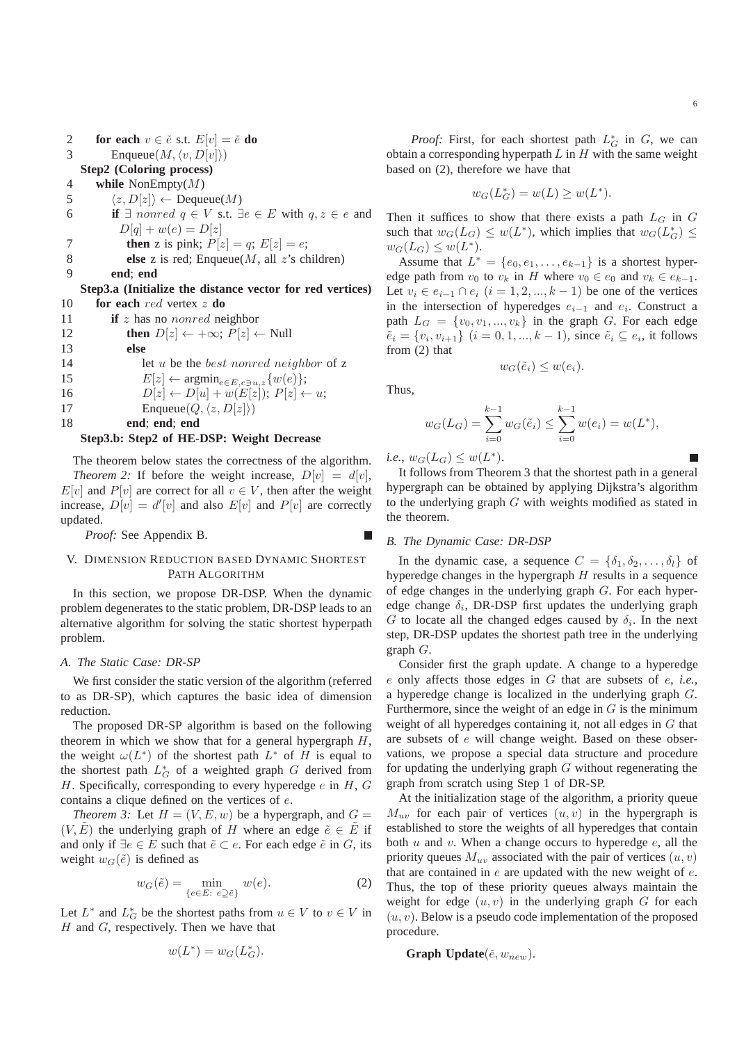2 **for each**  $v \in \check{e}$  s.t.  $E[v] = \check{e}$  **do** 

3 Enqueue $(M, \langle v, D[v]\rangle)$ 

**Step2 (Coloring process)**

4 **while** NonEmpty(M)

- 5  $\langle z, D[z] \rangle \leftarrow \text{Dequeue}(M)$
- 6 **if**  $\exists$  nonred  $q \in V$  s.t.  $\exists e \in E$  with  $q, z \in e$  and  $D[q] + w(e) = D[z]$
- 7 **then** z is pink;  $P[z] = q$ ;  $E[z] = e$ ;
- 8 **else** z is red; Enqueue(M, all z's children)

```
9 end; end
```
**Step3.a (Initialize the distance vector for red vertices)** 10 **for each** red vertex z **do**

- 11 **if** z has no nonred neighbor
- 12 **then**  $D[z] \leftarrow +\infty$ ;  $P[z] \leftarrow$  Null 13 **else** 14 let u be the best nonred neighbor of z 15  $E[z] \leftarrow \operatorname{argmin}_{e \in E, e \ni u,z} \{w(e)\};$ <br>16  $D[z] \leftarrow D[u] + w(E[z])$ ;  $P[z] \leftarrow$  $D[z] \leftarrow D[u] + w(E[z])$ ;  $P[z] \leftarrow u$ ;
- 17 Enqueue $(Q, \langle z, D[z]\rangle)$

18 **end**; **end**; **end**

## **Step3.b: Step2 of HE-DSP: Weight Decrease**

The theorem below states the correctness of the algorithm. *Theorem 2:* If before the weight increase,  $D[v] = d[v]$ ,  $E[v]$  and  $P[v]$  are correct for all  $v \in V$ , then after the weight increase,  $D[v] = d'[v]$  and also  $E[v]$  and  $P[v]$  are correctly updated.

*Proof:* See Appendix B.

## V. DIMENSION REDUCTION BASED DYNAMIC SHORTEST PATH ALGORITHM

In this section, we propose DR-DSP. When the dynamic problem degenerates to the static problem, DR-DSP leads to an alternative algorithm for solving the static shortest hyperpath problem.

## *A. The Static Case: DR-SP*

We first consider the static version of the algorithm (referred to as DR-SP), which captures the basic idea of dimension reduction.

The proposed DR-SP algorithm is based on the following theorem in which we show that for a general hypergraph  $H$ , the weight  $\omega(L^*)$  of the shortest path  $L^*$  of H is equal to the shortest path  $L_G^*$  of a weighted graph G derived from H. Specifically, corresponding to every hyperedge  $e$  in  $H$ ,  $G$ contains a clique defined on the vertices of e.

*Theorem 3:* Let  $H = (V, E, w)$  be a hypergraph, and  $G =$  $(V, E)$  the underlying graph of H where an edge  $\tilde{e} \in E$  if and only if  $\exists e \in E$  such that  $\tilde{e} \subset e$ . For each edge  $\tilde{e}$  in G, its weight  $w_G(\tilde{e})$  is defined as

$$
w_G(\tilde{e}) = \min_{\{e \in E: e \supseteq \tilde{e}\}} w(e). \tag{2}
$$

Let  $L^*$  and  $L_G^*$  be the shortest paths from  $u \in V$  to  $v \in V$  in  $H$  and  $G$ , respectively. Then we have that

$$
w(L^*) = w_G(L_G^*).
$$

*Proof:* First, for each shortest path  $L_G^*$  in  $G$ , we can obtain a corresponding hyperpath  $L$  in  $H$  with the same weight based on (2), therefore we have that

$$
w_G(L_G^*) = w(L) \ge w(L^*).
$$

Then it suffices to show that there exists a path  $L_G$  in  $G$ such that  $w_G(L_G) \leq w(L^*)$ , which implies that  $w_G(L_G^*) \leq$  $w_G(L_G) \leq w(L^*).$ 

Assume that  $L^* = \{e_0, e_1, \ldots, e_{k-1}\}\$  is a shortest hyperedge path from  $v_0$  to  $v_k$  in H where  $v_0 \in e_0$  and  $v_k \in e_{k-1}$ . Let  $v_i \in e_{i-1} \cap e_i$   $(i = 1, 2, ..., k - 1)$  be one of the vertices in the intersection of hyperedges  $e_{i-1}$  and  $e_i$ . Construct a path  $L_G = \{v_0, v_1, ..., v_k\}$  in the graph G. For each edge  $\tilde{e}_i = \{v_i, v_{i+1}\}$   $(i = 0, 1, ..., k-1)$ , since  $\tilde{e}_i \subseteq e_i$ , it follows from (2) that

$$
w_G(\tilde{e}_i) \le w(e_i).
$$

Thus,

L

$$
w_G(L_G) = \sum_{i=0}^{k-1} w_G(\tilde{e}_i) \le \sum_{i=0}^{k-1} w(e_i) = w(L^*),
$$

*i.e.*,  $w_G(L_G) \leq w(L^*).$ 

It follows from Theorem 3 that the shortest path in a general hypergraph can be obtained by applying Dijkstra's algorithm to the underlying graph  $G$  with weights modified as stated in the theorem.

#### *B. The Dynamic Case: DR-DSP*

In the dynamic case, a sequence  $C = \{\delta_1, \delta_2, \ldots, \delta_l\}$  of hyperedge changes in the hypergraph  $H$  results in a sequence of edge changes in the underlying graph  $G$ . For each hyperedge change  $\delta_i$ , DR-DSP first updates the underlying graph G to locate all the changed edges caused by  $\delta_i$ . In the next step, DR-DSP updates the shortest path tree in the underlying graph G.

Consider first the graph update. A change to a hyperedge e only affects those edges in G that are subsets of e, *i.e.,* a hyperedge change is localized in the underlying graph G. Furthermore, since the weight of an edge in  $G$  is the minimum weight of all hyperedges containing it, not all edges in G that are subsets of e will change weight. Based on these observations, we propose a special data structure and procedure for updating the underlying graph  $G$  without regenerating the graph from scratch using Step 1 of DR-SP.

At the initialization stage of the algorithm, a priority queue  $M_{uv}$  for each pair of vertices  $(u, v)$  in the hypergraph is established to store the weights of all hyperedges that contain both  $u$  and  $v$ . When a change occurs to hyperedge  $e$ , all the priority queues  $M_{uv}$  associated with the pair of vertices  $(u, v)$ that are contained in  $e$  are updated with the new weight of  $e$ . Thus, the top of these priority queues always maintain the weight for edge  $(u, v)$  in the underlying graph  $G$  for each  $(u, v)$ . Below is a pseudo code implementation of the proposed procedure.

**Graph Update**( $\check{e}$ ,  $w_{new}$ ).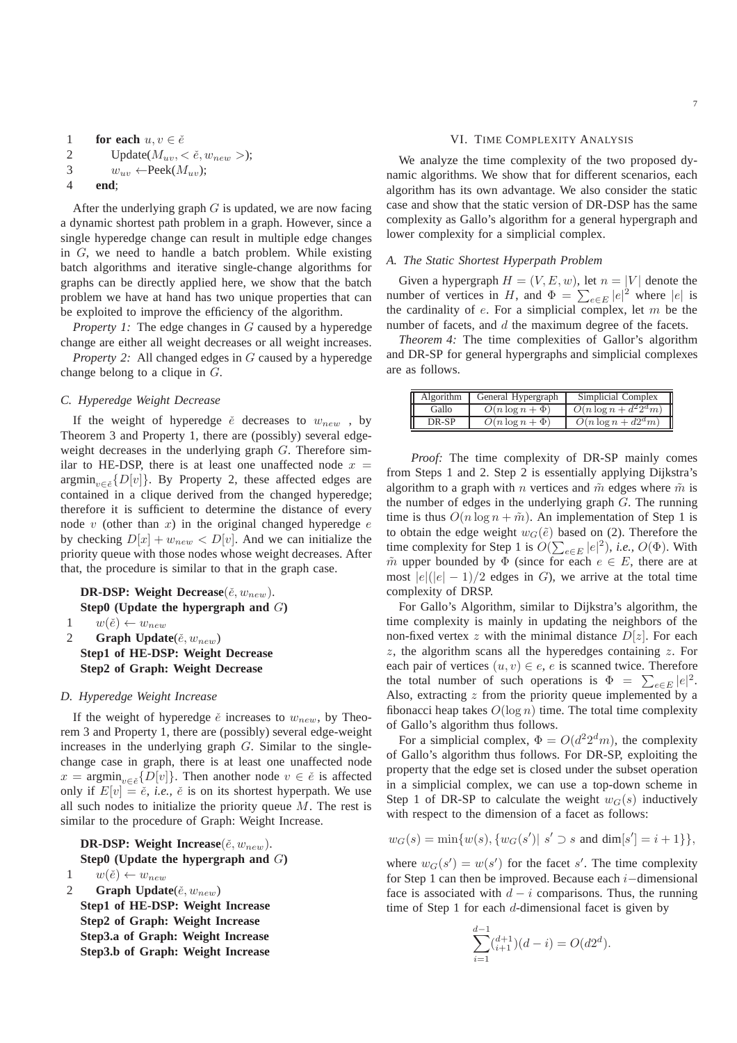```
1 for each u, v \in \check{e}2 Update(M_{uv}, < \check{e}, w_{new} >);
3 w_{uv} \leftarrow \text{Peek}(M_{uv});4 end;
```
After the underlying graph  $G$  is updated, we are now facing a dynamic shortest path problem in a graph. However, since a single hyperedge change can result in multiple edge changes in G, we need to handle a batch problem. While existing batch algorithms and iterative single-change algorithms for graphs can be directly applied here, we show that the batch problem we have at hand has two unique properties that can be exploited to improve the efficiency of the algorithm.

*Property 1:* The edge changes in G caused by a hyperedge change are either all weight decreases or all weight increases.

*Property 2:* All changed edges in G caused by a hyperedge change belong to a clique in G.

## *C. Hyperedge Weight Decrease*

If the weight of hyperedge  $\check{e}$  decreases to  $w_{new}$ , by Theorem 3 and Property 1, there are (possibly) several edgeweight decreases in the underlying graph G. Therefore similar to HE-DSP, there is at least one unaffected node  $x =$  $\operatorname{argmin}_{v \in \check{e}} \{D[v]\}.$  By Property 2, these affected edges are contained in a clique derived from the changed hyperedge; therefore it is sufficient to determine the distance of every node v (other than x) in the original changed hyperedge  $e$ by checking  $D[x] + w_{new} < D[v]$ . And we can initialize the priority queue with those nodes whose weight decreases. After that, the procedure is similar to that in the graph case.

**DR-DSP:** Weight Decrease( $\check{e}$ ,  $w_{new}$ ). **Step0 (Update the hypergraph and** G**)** 1  $w(\check{e}) \leftarrow w_{new}$ 2 **Graph Update** $(\check{e}, w_{new})$ 

**Step1 of HE-DSP: Weight Decrease Step2 of Graph: Weight Decrease**

## *D. Hyperedge Weight Increase*

If the weight of hyperedge  $\check{e}$  increases to  $w_{new}$ , by Theorem 3 and Property 1, there are (possibly) several edge-weight increases in the underlying graph  $G$ . Similar to the singlechange case in graph, there is at least one unaffected node  $x = \operatorname{argmin}_{v \in \tilde{e}} \{D[v]\}.$  Then another node  $v \in \tilde{e}$  is affected only if  $E[v] = e^{\lambda}$ , *i.e.*,  $e^{\lambda}$  is on its shortest hyperpath. We use all such nodes to initialize the priority queue  $M$ . The rest is similar to the procedure of Graph: Weight Increase.

**DR-DSP:** Weight Increase( $\check{e}$ ,  $w_{new}$ ). **Step0 (Update the hypergraph and** G**)** 1  $w(\check{e}) \leftarrow w_{new}$ 2 **Graph Update** $(\check{e}, w_{new})$ 

**Step1 of HE-DSP: Weight Increase Step2 of Graph: Weight Increase Step3.a of Graph: Weight Increase Step3.b of Graph: Weight Increase**

## VI. TIME COMPLEXITY ANALYSIS

We analyze the time complexity of the two proposed dynamic algorithms. We show that for different scenarios, each algorithm has its own advantage. We also consider the static case and show that the static version of DR-DSP has the same complexity as Gallo's algorithm for a general hypergraph and lower complexity for a simplicial complex.

## *A. The Static Shortest Hyperpath Problem*

Given a hypergraph  $H = (V, E, w)$ , let  $n = |V|$  denote the number of vertices in H, and  $\Phi = \sum_{e \in E} |e|^2$  where  $|e|$  is the cardinality of  $e$ . For a simplicial complex, let  $m$  be the number of facets, and d the maximum degree of the facets.

*Theorem 4:* The time complexities of Gallor's algorithm and DR-SP for general hypergraphs and simplicial complexes are as follows.

| Algorithm | General Hypergraph   | Simplicial Complex        |
|-----------|----------------------|---------------------------|
| Gallo     | $O(n \log n + \Phi)$ | $O(n \log n + d^2 2^d m)$ |
| DR-SP     | $O(n \log n + \Phi)$ | $O(n \log n + d2^d m)$    |

*Proof:* The time complexity of DR-SP mainly comes from Steps 1 and 2. Step 2 is essentially applying Dijkstra's algorithm to a graph with *n* vertices and  $\tilde{m}$  edges where  $\tilde{m}$  is the number of edges in the underlying graph  $G$ . The running time is thus  $O(n \log n + \tilde{m})$ . An implementation of Step 1 is to obtain the edge weight  $w_G(\tilde{e})$  based on (2). Therefore the time complexity for Step 1 is  $O(\sum_{e \in E} |e|^2)$ , *i.e.*,  $O(\Phi)$ . With  $m$  upper bounded by  $\Phi$  (since for each  $e \in E$ , there are at most  $|e|(|e|-1)/2$  edges in G, we arrive at the total time complexity of DRSP.

For Gallo's Algorithm, similar to Dijkstra's algorithm, the time complexity is mainly in updating the neighbors of the non-fixed vertex z with the minimal distance  $D[z]$ . For each  $z$ , the algorithm scans all the hyperedges containing  $z$ . For each pair of vertices  $(u, v) \in e$ , e is scanned twice. Therefore the total number of such operations is  $\Phi = \sum_{e \in E} |e|^2$ . Also, extracting  $z$  from the priority queue implemented by a fibonacci heap takes  $O(\log n)$  time. The total time complexity of Gallo's algorithm thus follows.

For a simplicial complex,  $\Phi = O(d^2 2^d m)$ , the complexity of Gallo's algorithm thus follows. For DR-SP, exploiting the property that the edge set is closed under the subset operation in a simplicial complex, we can use a top-down scheme in Step 1 of DR-SP to calculate the weight  $w_G(s)$  inductively with respect to the dimension of a facet as follows:

$$
w_G(s) = \min\{w(s), \{w_G(s')| \mid s' \supset s \text{ and } \dim[s'] = i+1\}\},\
$$

where  $w_G(s') = w(s')$  for the facet s'. The time complexity for Step 1 can then be improved. Because each  $i$ –dimensional face is associated with  $d - i$  comparisons. Thus, the running time of Step 1 for each d-dimensional facet is given by

$$
\sum_{i=1}^{d-1} \binom{d+1}{i+1} (d-i) = O(d2^d).
$$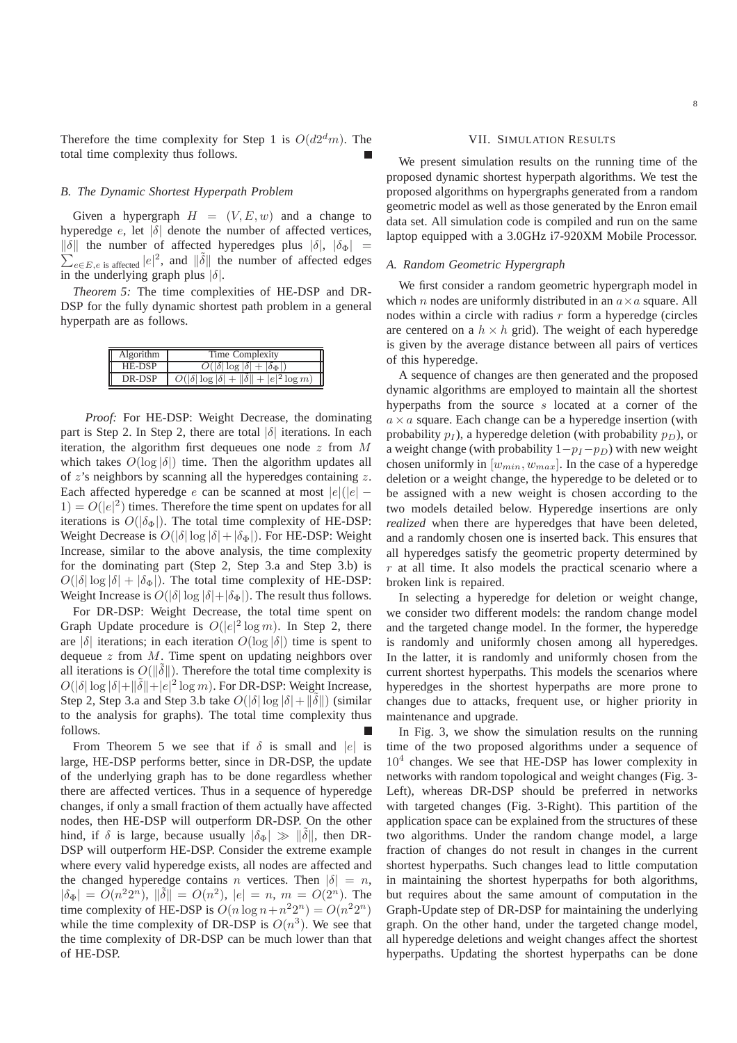Therefore the time complexity for Step 1 is  $O(d2<sup>d</sup>m)$ . The total time complexity thus follows.

## *B. The Dynamic Shortest Hyperpath Problem*

Given a hypergraph  $H = (V, E, w)$  and a change to hyperedge  $e$ , let  $|\delta|$  denote the number of affected vertices,  $\|\delta\|$  the number of affected hyperedges plus  $|\delta|, |\delta_{\Phi}|$  =  $\sum_{e \in E, e \text{ is affected}}^{\infty} |e|^2$ , and  $\|\tilde{\delta}\|$  the number of affected edges in the underlying graph plus  $|\delta|$ .

*Theorem 5:* The time complexities of HE-DSP and DR-DSP for the fully dynamic shortest path problem in a general hyperpath are as follows.

| Algorithm | Time Complexity                                                 |
|-----------|-----------------------------------------------------------------|
| HE-DSP    | $O( \delta  \log  \delta  +  \delta_{\Phi} )$                   |
| DR-DSP    | $O( \delta  \log  \delta  +   \tilde{\delta}   +  e ^2 \log m)$ |

*Proof:* For HE-DSP: Weight Decrease, the dominating part is Step 2. In Step 2, there are total  $|\delta|$  iterations. In each iteration, the algorithm first dequeues one node  $z$  from  $M$ which takes  $O(\log |\delta|)$  time. Then the algorithm updates all of  $z$ 's neighbors by scanning all the hyperedges containing  $z$ . Each affected hyperedge e can be scanned at most  $|e|(|e| 1) = O(|e|^2)$  times. Therefore the time spent on updates for all iterations is  $O(|\delta_{\Phi}|)$ . The total time complexity of HE-DSP: Weight Decrease is  $O(|\delta| \log |\delta| + |\delta_{\Phi}|)$ . For HE-DSP: Weight Increase, similar to the above analysis, the time complexity for the dominating part (Step 2, Step 3.a and Step 3.b) is  $O(|\delta| \log |\delta| + |\delta_{\Phi}|)$ . The total time complexity of HE-DSP: Weight Increase is  $O(|\delta| \log |\delta| + |\delta_{\Phi}|)$ . The result thus follows.

For DR-DSP: Weight Decrease, the total time spent on Graph Update procedure is  $O(|e|^2 \log m)$ . In Step 2, there are  $|\delta|$  iterations; in each iteration  $O(\log |\delta|)$  time is spent to dequeue  $z$  from  $M$ . Time spent on updating neighbors over all iterations is  $O(||\tilde{\delta}||)$ . Therefore the total time complexity is  $O(|\delta|\log|\delta|+\|\tilde{\delta}\|+\epsilon|^2\log m)$ . For DR-DSP: Weight Increase, Step 2, Step 3.a and Step 3.b take  $O(|\delta| \log |\delta| + ||\tilde{\delta}||)$  (similar to the analysis for graphs). The total time complexity thus follows.

From Theorem 5 we see that if  $\delta$  is small and |e| is large, HE-DSP performs better, since in DR-DSP, the update of the underlying graph has to be done regardless whether there are affected vertices. Thus in a sequence of hyperedge changes, if only a small fraction of them actually have affected nodes, then HE-DSP will outperform DR-DSP. On the other hind, if  $\delta$  is large, because usually  $|\delta_{\Phi}| \gg ||\delta||$ , then DR-DSP will outperform HE-DSP. Consider the extreme example where every valid hyperedge exists, all nodes are affected and the changed hyperedge contains n vertices. Then  $|\delta| = n$ ,  $|\delta_{\Phi}| = O(n^2 2^n)$ ,  $\|\tilde{\delta}\| = O(n^2)$ ,  $|e| = n$ ,  $m = O(2^n)$ . The time complexity of HE-DSP is  $O(n \log n + n^2 2^n) = O(n^2 2^n)$ while the time complexity of DR-DSP is  $O(n^3)$ . We see that the time complexity of DR-DSP can be much lower than that of HE-DSP.

## VII. SIMULATION RESULTS

We present simulation results on the running time of the proposed dynamic shortest hyperpath algorithms. We test the proposed algorithms on hypergraphs generated from a random geometric model as well as those generated by the Enron email data set. All simulation code is compiled and run on the same laptop equipped with a 3.0GHz i7-920XM Mobile Processor.

## *A. Random Geometric Hypergraph*

We first consider a random geometric hypergraph model in which *n* nodes are uniformly distributed in an  $a \times a$  square. All nodes within a circle with radius  $r$  form a hyperedge (circles are centered on a  $h \times h$  grid). The weight of each hyperedge is given by the average distance between all pairs of vertices of this hyperedge.

A sequence of changes are then generated and the proposed dynamic algorithms are employed to maintain all the shortest hyperpaths from the source s located at a corner of the  $a \times a$  square. Each change can be a hyperedge insertion (with probability  $p_I$ ), a hyperedge deletion (with probability  $p_D$ ), or a weight change (with probability  $1-p_I-p_D$ ) with new weight chosen uniformly in  $[w_{min}, w_{max}]$ . In the case of a hyperedge deletion or a weight change, the hyperedge to be deleted or to be assigned with a new weight is chosen according to the two models detailed below. Hyperedge insertions are only *realized* when there are hyperedges that have been deleted, and a randomly chosen one is inserted back. This ensures that all hyperedges satisfy the geometric property determined by  $r$  at all time. It also models the practical scenario where a broken link is repaired.

In selecting a hyperedge for deletion or weight change, we consider two different models: the random change model and the targeted change model. In the former, the hyperedge is randomly and uniformly chosen among all hyperedges. In the latter, it is randomly and uniformly chosen from the current shortest hyperpaths. This models the scenarios where hyperedges in the shortest hyperpaths are more prone to changes due to attacks, frequent use, or higher priority in maintenance and upgrade.

In Fig. 3, we show the simulation results on the running time of the two proposed algorithms under a sequence of  $10<sup>4</sup>$  changes. We see that HE-DSP has lower complexity in networks with random topological and weight changes (Fig. 3- Left), whereas DR-DSP should be preferred in networks with targeted changes (Fig. 3-Right). This partition of the application space can be explained from the structures of these two algorithms. Under the random change model, a large fraction of changes do not result in changes in the current shortest hyperpaths. Such changes lead to little computation in maintaining the shortest hyperpaths for both algorithms, but requires about the same amount of computation in the Graph-Update step of DR-DSP for maintaining the underlying graph. On the other hand, under the targeted change model, all hyperedge deletions and weight changes affect the shortest hyperpaths. Updating the shortest hyperpaths can be done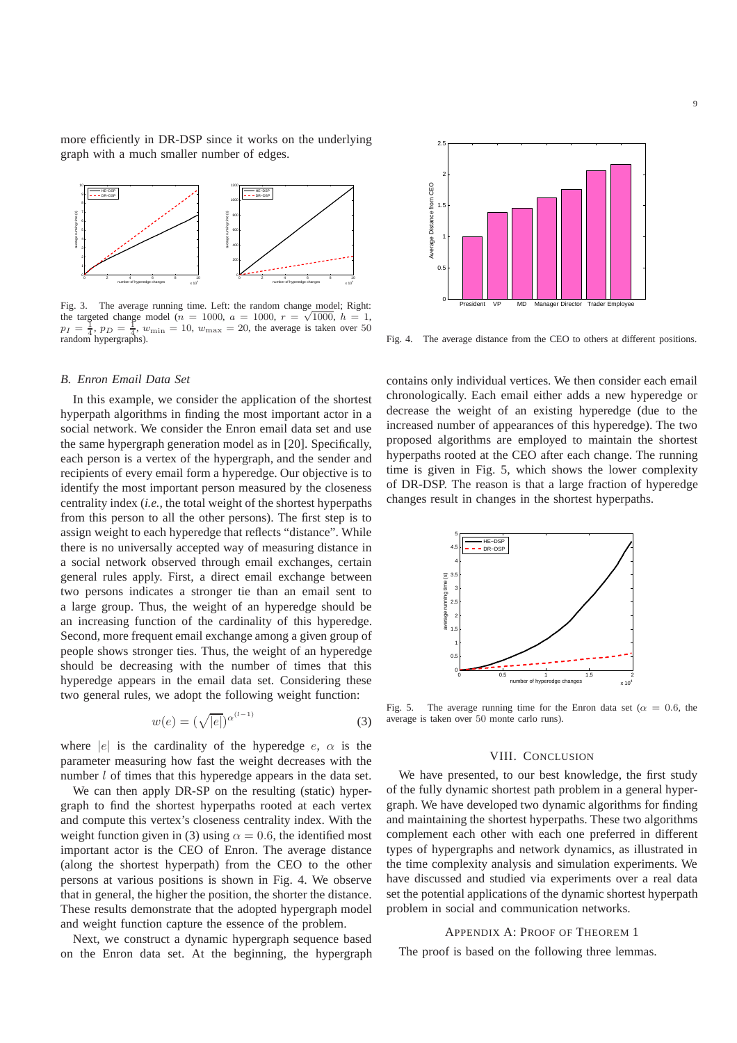more efficiently in DR-DSP since it works on the underlying graph with a much smaller number of edges.



Fig. 3. The average running time. Left: the random change model; Right: the targeted change model ( $n = 1000$ ,  $a = 1000$ ,  $r = \sqrt{1000}$ ,  $h = 1$ ,  $p_1 = \frac{1}{4}$ ,  $p_D = \frac{1}{4}$ ,  $w_{\text{min}} = 10$ ,  $w_{\text{max}} = 20$ , the average is taken over 50 random hypergraphs).

## *B. Enron Email Data Set*

In this example, we consider the application of the shortest hyperpath algorithms in finding the most important actor in a social network. We consider the Enron email data set and use the same hypergraph generation model as in [20]. Specifically, each person is a vertex of the hypergraph, and the sender and recipients of every email form a hyperedge. Our objective is to identify the most important person measured by the closeness centrality index (*i.e.,* the total weight of the shortest hyperpaths from this person to all the other persons). The first step is to assign weight to each hyperedge that reflects "distance". While there is no universally accepted way of measuring distance in a social network observed through email exchanges, certain general rules apply. First, a direct email exchange between two persons indicates a stronger tie than an email sent to a large group. Thus, the weight of an hyperedge should be an increasing function of the cardinality of this hyperedge. Second, more frequent email exchange among a given group of people shows stronger ties. Thus, the weight of an hyperedge should be decreasing with the number of times that this hyperedge appears in the email data set. Considering these two general rules, we adopt the following weight function:

$$
w(e) = (\sqrt{|e|})^{\alpha^{(l-1)}} \tag{3}
$$

where |e| is the cardinality of the hyperedge  $e$ ,  $\alpha$  is the parameter measuring how fast the weight decreases with the number *l* of times that this hyperedge appears in the data set.

We can then apply DR-SP on the resulting (static) hypergraph to find the shortest hyperpaths rooted at each vertex and compute this vertex's closeness centrality index. With the weight function given in (3) using  $\alpha = 0.6$ , the identified most important actor is the CEO of Enron. The average distance (along the shortest hyperpath) from the CEO to the other persons at various positions is shown in Fig. 4. We observe that in general, the higher the position, the shorter the distance. These results demonstrate that the adopted hypergraph model and weight function capture the essence of the problem.

Next, we construct a dynamic hypergraph sequence based on the Enron data set. At the beginning, the hypergraph



Fig. 4. The average distance from the CEO to others at different positions.

contains only individual vertices. We then consider each email chronologically. Each email either adds a new hyperedge or decrease the weight of an existing hyperedge (due to the increased number of appearances of this hyperedge). The two proposed algorithms are employed to maintain the shortest hyperpaths rooted at the CEO after each change. The running time is given in Fig. 5, which shows the lower complexity of DR-DSP. The reason is that a large fraction of hyperedge changes result in changes in the shortest hyperpaths.



Fig. 5. The average running time for the Enron data set ( $\alpha = 0.6$ , the average is taken over 50 monte carlo runs).

## VIII. CONCLUSION

We have presented, to our best knowledge, the first study of the fully dynamic shortest path problem in a general hypergraph. We have developed two dynamic algorithms for finding and maintaining the shortest hyperpaths. These two algorithms complement each other with each one preferred in different types of hypergraphs and network dynamics, as illustrated in the time complexity analysis and simulation experiments. We have discussed and studied via experiments over a real data set the potential applications of the dynamic shortest hyperpath problem in social and communication networks.

#### APPENDIX A: PROOF OF THEOREM 1

The proof is based on the following three lemmas.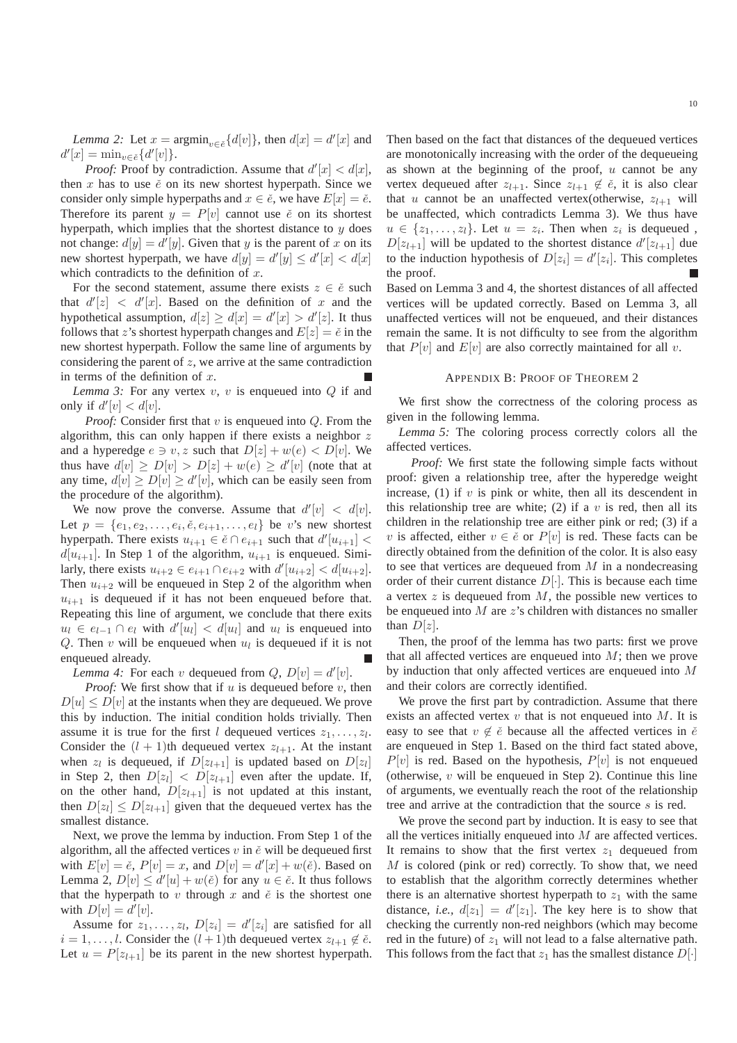*Lemma 2:* Let  $x = \operatorname{argmin}_{v \in \tilde{e}} \{d[v]\}$ , then  $d[x] = d'[x]$  and  $d'[x] = \min_{v \in \check{e}} \{d'[v]\}.$ 

*Proof:* Proof by contradiction. Assume that  $d'[x] < d[x]$ , then  $x$  has to use  $\check{e}$  on its new shortest hyperpath. Since we consider only simple hyperpaths and  $x \in \check{e}$ , we have  $E[x] = \check{e}$ . Therefore its parent  $y = P[v]$  cannot use  $\check{e}$  on its shortest hyperpath, which implies that the shortest distance to  $y$  does not change:  $d[y] = d'[y]$ . Given that y is the parent of x on its new shortest hyperpath, we have  $d[y] = d'[y] \leq d'[x] < d[x]$ which contradicts to the definition of  $x$ .

For the second statement, assume there exists  $z \in \check{e}$  such that  $d'[z] < d'[x]$ . Based on the definition of x and the hypothetical assumption,  $d[z] \ge d[x] = d'[x] > d'[z]$ . It thus follows that z's shortest hyperpath changes and  $E[z] = \check{e}$  in the new shortest hyperpath. Follow the same line of arguments by considering the parent of  $z$ , we arrive at the same contradiction in terms of the definition of  $x$ .

*Lemma 3:* For any vertex  $v, v$  is enqueued into  $Q$  if and only if  $d'[v] < d[v]$ .

*Proof:* Consider first that  $v$  is enqueued into  $Q$ . From the algorithm, this can only happen if there exists a neighbor  $z$ and a hyperedge  $e \ni v, z$  such that  $D[z] + w(e) < D[v]$ . We thus have  $d[v] \ge D[v] > D[z] + w(e) \ge d'[v]$  (note that at any time,  $d[v] \ge D[v] \ge d'[v]$ , which can be easily seen from the procedure of the algorithm).

We now prove the converse. Assume that  $d'[v] < d[v]$ . Let  $p = \{e_1, e_2, \ldots, e_i, \check{e}, e_{i+1}, \ldots, e_l\}$  be v's new shortest hyperpath. There exists  $u_{i+1} \in \check{e} \cap e_{i+1}$  such that  $d'[u_{i+1}] <$  $d[u_{i+1}]$ . In Step 1 of the algorithm,  $u_{i+1}$  is enqueued. Similarly, there exists  $u_{i+2} \in e_{i+1} \cap e_{i+2}$  with  $d'[u_{i+2}] < d[u_{i+2}]$ . Then  $u_{i+2}$  will be enqueued in Step 2 of the algorithm when  $u_{i+1}$  is dequeued if it has not been enqueued before that. Repeating this line of argument, we conclude that there exits  $u_l \in e_{l-1} \cap e_l$  with  $d'[u_l] < d[u_l]$  and  $u_l$  is enqueued into Q. Then  $v$  will be enqueued when  $u_l$  is dequeued if it is not enqueued already.

*Lemma 4:* For each v dequeued from  $Q$ ,  $D[v] = d'[v]$ .

*Proof:* We first show that if  $u$  is dequeued before  $v$ , then  $D[u] \le D[v]$  at the instants when they are dequeued. We prove this by induction. The initial condition holds trivially. Then assume it is true for the first l dequeued vertices  $z_1, \ldots, z_l$ . Consider the  $(l + 1)$ th dequeued vertex  $z_{l+1}$ . At the instant when  $z_l$  is dequeued, if  $D[z_{l+1}]$  is updated based on  $D[z_l]$ in Step 2, then  $D[z_l] < D[z_{l+1}]$  even after the update. If, on the other hand,  $D[z_{l+1}]$  is not updated at this instant, then  $D[z_l] \le D[z_{l+1}]$  given that the dequeued vertex has the smallest distance.

Next, we prove the lemma by induction. From Step 1 of the algorithm, all the affected vertices  $v$  in  $\check{e}$  will be dequeued first with  $E[v] = \check{e}$ ,  $P[v] = x$ , and  $D[v] = d'[x] + w(\check{e})$ . Based on Lemma 2,  $D[v] \le d'[u] + w(\check{e})$  for any  $u \in \check{e}$ . It thus follows that the hyperpath to v through x and  $\check{e}$  is the shortest one with  $D[v] = d'[v]$ .

Assume for  $z_1, \ldots, z_l$ ,  $D[z_i] = d'[z_i]$  are satisfied for all  $i = 1, \ldots, l$ . Consider the  $(l + 1)$ th dequeued vertex  $z_{l+1} \notin \check{e}$ . Let  $u = P[z_{l+1}]$  be its parent in the new shortest hyperpath.

Then based on the fact that distances of the dequeued vertices are monotonically increasing with the order of the dequeueing as shown at the beginning of the proof,  $u$  cannot be any vertex dequeued after  $z_{l+1}$ . Since  $z_{l+1} \notin \check{e}$ , it is also clear that u cannot be an unaffected vertex(otherwise,  $z_{l+1}$  will be unaffected, which contradicts Lemma 3). We thus have  $u \in \{z_1, \ldots, z_l\}$ . Let  $u = z_i$ . Then when  $z_i$  is dequeued,  $D[z_{l+1}]$  will be updated to the shortest distance  $d'[z_{l+1}]$  due to the induction hypothesis of  $D[z_i] = d'[z_i]$ . This completes the proof.

Based on Lemma 3 and 4, the shortest distances of all affected vertices will be updated correctly. Based on Lemma 3, all unaffected vertices will not be enqueued, and their distances remain the same. It is not difficulty to see from the algorithm that  $P[v]$  and  $E[v]$  are also correctly maintained for all v.

## APPENDIX B: PROOF OF THEOREM 2

We first show the correctness of the coloring process as given in the following lemma.

*Lemma 5:* The coloring process correctly colors all the affected vertices.

*Proof:* We first state the following simple facts without proof: given a relationship tree, after the hyperedge weight increase,  $(1)$  if v is pink or white, then all its descendent in this relationship tree are white; (2) if a  $v$  is red, then all its children in the relationship tree are either pink or red; (3) if a v is affected, either  $v \in \check{e}$  or  $P[v]$  is red. These facts can be directly obtained from the definition of the color. It is also easy to see that vertices are dequeued from  $M$  in a nondecreasing order of their current distance  $D[\cdot]$ . This is because each time a vertex  $z$  is dequeued from  $M$ , the possible new vertices to be enqueued into  $M$  are  $z$ 's children with distances no smaller than  $D[z]$ .

Then, the proof of the lemma has two parts: first we prove that all affected vertices are enqueued into  $M$ ; then we prove by induction that only affected vertices are enqueued into M and their colors are correctly identified.

We prove the first part by contradiction. Assume that there exists an affected vertex  $v$  that is not enqueued into  $M$ . It is easy to see that  $v \notin \check{e}$  because all the affected vertices in  $\check{e}$ are enqueued in Step 1. Based on the third fact stated above,  $P[v]$  is red. Based on the hypothesis,  $P[v]$  is not enqueued (otherwise,  $v$  will be enqueued in Step 2). Continue this line of arguments, we eventually reach the root of the relationship tree and arrive at the contradiction that the source s is red.

We prove the second part by induction. It is easy to see that all the vertices initially enqueued into  $M$  are affected vertices. It remains to show that the first vertex  $z_1$  dequeued from M is colored (pink or red) correctly. To show that, we need to establish that the algorithm correctly determines whether there is an alternative shortest hyperpath to  $z_1$  with the same distance, *i.e.*,  $d[z_1] = d'[z_1]$ . The key here is to show that checking the currently non-red neighbors (which may become red in the future) of  $z_1$  will not lead to a false alternative path. This follows from the fact that  $z_1$  has the smallest distance  $D[\cdot]$